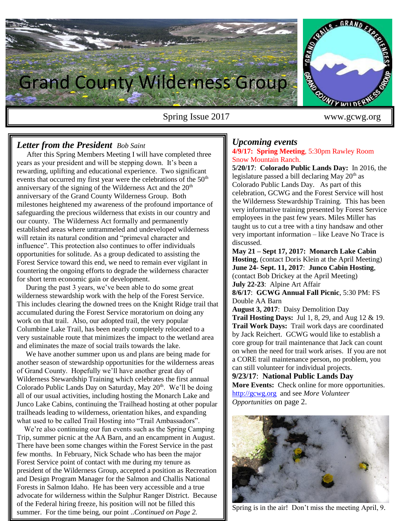

## *Letter from the President Bob Saint*

 After this Spring Members Meeting I will have completed three years as your president and will be stepping down. It's been a rewarding, uplifting and educational experience. Two significant events that occurred my first year were the celebrations of the  $50<sup>th</sup>$ anniversary of the signing of the Wilderness Act and the  $20<sup>th</sup>$ anniversary of the Grand County Wilderness Group. Both milestones heightened my awareness of the profound importance of safeguarding the precious wilderness that exists in our country and our county. The Wilderness Act formally and permanently established areas where untrammeled and undeveloped wilderness will retain its natural condition and "primeval character and influence". This protection also continues to offer individuals opportunities for solitude. As a group dedicated to assisting the Forest Service toward this end, we need to remain ever vigilant in countering the ongoing efforts to degrade the wilderness character for short term economic gain or development.

 During the past 3 years, we've been able to do some great wilderness stewardship work with the help of the Forest Service. This includes clearing the downed trees on the Knight Ridge trail that accumulated during the Forest Service moratorium on doing any work on that trail. Also, our adopted trail, the very popular Columbine Lake Trail, has been nearly completely relocated to a very sustainable route that minimizes the impact to the wetland area and eliminates the maze of social trails towards the lake.

 We have another summer upon us and plans are being made for another season of stewardship opportunities for the wilderness areas of Grand County. Hopefully we'll have another great day of Wilderness Stewardship Training which celebrates the first annual Colorado Public Lands Day on Saturday, May  $20<sup>th</sup>$ . We'll be doing all of our usual activities, including hosting the Monarch Lake and Junco Lake Cabins, continuing the Trailhead hosting at other popular trailheads leading to wilderness, orientation hikes, and expanding what used to be called Trail Hosting into "Trail Ambassadors".

 We're also continuing our fun events such as the Spring Camping Trip, summer picnic at the AA Barn, and an encampment in August. There have been some changes within the Forest Service in the past few months. In February, Nick Schade who has been the major Forest Service point of contact with me during my tenure as president of the Wilderness Group, accepted a position as Recreation and Design Program Manager for the Salmon and Challis National Forests in Salmon Idaho. He has been very accessible and a true advocate for wilderness within the Sulphur Ranger District. Because of the Federal hiring freeze, his position will not be filled this summer. For the time being, our point ..*Continued on Page 2.*

Sulphur Ranger District late last summer. Jon comes to us from the

### *Upcoming events* **4/9/17: Spring Meeting**, 5:30pm Rawley Room Snow Mountain Ranch.

**5/20/17**: **Colorado Public Lands Day:** In 2016, the legislature passed a bill declaring May  $20<sup>th</sup>$  as Colorado Public Lands Day. As part of this celebration, GCWG and the Forest Service will host the Wilderness Stewardship Training. This has been very informative training presented by Forest Service employees in the past few years. Miles Miller has taught us to cut a tree with a tiny handsaw and other very important information – like Leave No Trace is discussed.

**May 21 – Sept 17, 2017: Monarch Lake Cabin Hosting**, (contact Doris Klein at the April Meeting) **June 24- Sept. 11, 2017**: **Junco Cabin Hosting**, (contact Bob Drickey at the April Meeting) **July 22-23**: Alpine Art Affair

**8/6/17**: **GCWG Annual Fall Picnic**, 5:30 PM: FS Double AA Barn

**August 3, 2017**: Daisy Demolition Day **Trail Hosting Days:** Jul 1, 8, 29, and Aug 12 & 19. **Trail Work Days:** Trail work days are coordinated by Jack Reichert. GCWG would like to establish a core group for trail maintenance that Jack can count on when the need for trail work arises. If you are not a CORE trail maintenance person, no problem, you can still volunteer for individual projects.

**9/23/17**: **National Public Lands Day More Events:** Check online for more opportunities. [http://gcwg.org](http://gcwg.org/) and see *More Volunteer Opportunities* on page 2.



Spring is in the air! Don't miss the meeting April, 9.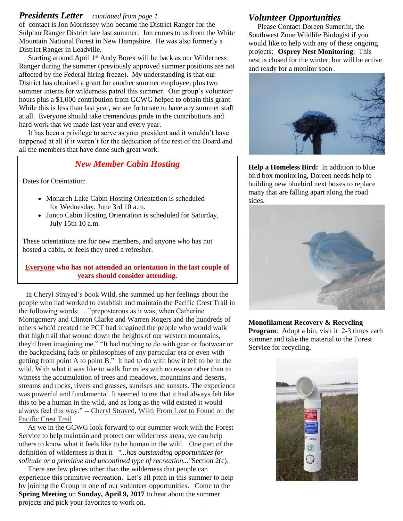### *Presidents Letter continued from page 1*

of contact is Jon Morrissey who became the District Ranger for the Sulphur Ranger District late last summer. Jon comes to us from the White Mountain National Forest in New Hampshire. He was also formerly a District Ranger in Leadville.

Starting around April 1<sup>st</sup> Andy Borek will be back as our Wilderness Ranger during the summer (previously approved summer positions are not affected by the Federal hiring freeze). My understanding is that our District has obtained a grant for another summer employee, plus two summer interns for wilderness patrol this summer. Our group's volunteer hours plus a \$1,000 contribution from GCWG helped to obtain this grant. While this is less than last year, we are fortunate to have any summer staff at all. Everyone should take tremendous pride in the contributions and hard work that we made last year and every year.

 It has been a privilege to serve as your president and it wouldn't have happened at all if it weren't for the dedication of the rest of the Board and all the members that have done such great work.

## *New Member Cabin Hosting*

Dates for Oreintation:

- Monarch Lake Cabin Hosting Orientation is scheduled for Wednesday, June 3rd 10 a.m.
- Junco Cabin Hosting Orientation is scheduled for Saturday, July 15th 10 a.m.

These orientations are for new members, and anyone who has not hosted a cabin, or feels they need a refresher.

### **Everyone who has not attended an orientation in the last couple of years should consider attending.**

 In Cheryl Strayed's book Wild, she summed up her feelings about the people who had worked to establish and maintain the Pacific Crest Trail in the following words: …"preposterous as it was, when Catherine Montgomery and Clinton Clarke and Warren Rogers and the hundreds of others who'd created the PCT had imagined the people who would walk that high trail that wound down the heights of our western mountains, they'd been imagining me." "It had nothing to do with gear or footwear or the backpacking fads or philosophies of any particular era or even with getting from point A to point B." It had to do with how it felt to be in the wild. With what it was like to walk for miles with no reason other than to witness the accumulation of trees and meadows, mountains and deserts, streams and rocks, rivers and grasses, sunrises and sunsets. The experience was powerful and fundamental. It seemed to me that it had always felt like this to be a human in the wild, and as long as the wild existed it would always feel this way." -- [Cheryl Strayed,](https://www.goodreads.com/author/show/155717.Cheryl_Strayed) [Wild: From Lost to Found on the](https://www.goodreads.com/work/quotes/17237712)  [Pacific Crest Trail](https://www.goodreads.com/work/quotes/17237712)

 As we in the GCWG look forward to our summer work with the Forest Service to help maintain and protect our wilderness areas, we can help others to know what it feels like to be human in the wild. One part of the definition of wilderness is that it *"...has outstanding opportunities for solitude or a primitive and unconfined type of recreation..."*Section 2(c).

 There are few places other than the wilderness that people can experience this primitive recreation. Let's all pitch in this summer to help by joining the Group in one of our volunteer opportunities. Come to the **Spring Meeting** on **Sunday, April 9, 2017** to hear about the summer projects and pick your favorites to work on.

## *Volunteer Opportunities*

 Please Contact Doreen Sumerlin, the Southwest Zone Wildlife Biologist if you would like to help with any of these ongoing projects:**Osprey Nest Monitoring**: This nest is closed for the winter, but will be active and ready for a monitor soon .



**Help a Homeless Bird:** In addition to blue bird box monitoring, Doreen needs help to building new bluebird next boxes to replace many that are falling apart along the road sides.



**Monofilament Recovery & Recycling Program:** Adopt a bin, visit it 2-3 times each summer and take the material to the Forest Service for recycling**.**

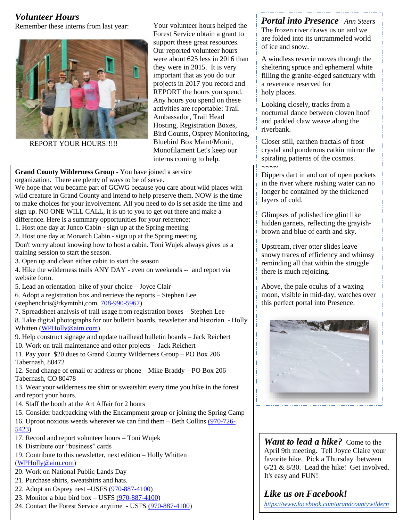# *Volunteer Hours*

Remember these interns from last year:



REPORT YOUR HOURS!!!!!

Your volunteer hours helped the Forest Service obtain a grant to support these great resources. Our reported volunteer hours were about 625 less in 2016 than they were in 2015. It is very important that as you do our projects in 2017 you record and REPORT the hours you spend. Any hours you spend on these activities are reportable: Trail Ambassador, Trail Head Hosting, Registration Boxes, Bird Counts, Osprey Monitoring, Bluebird Box Maint/Monit, Monofilament Let's keep our interns coming to help.

**Grand County Wilderness Group** - You have joined a service organization. There are plenty of ways to be of serve.

We hope that you became part of GCWG because you care about wild places with wild creature in Grand County and intend to help preserve them. NOW is the time to make choices for your involvement. All you need to do is set aside the time and sign up. NO ONE WILL CALL, it is up to you to get out there and make a

difference. Here is a summary opportunities for your reference:

1. Host one day at Junco Cabin - sign up at the Spring meeting.

2. Host one day at Monarch Cabin - sign up at the Spring meeting

Don't worry about knowing how to host a cabin. Toni Wujek always gives us a training session to start the season.

3. Open up and clean either cabin to start the season

4. Hike the wilderness trails ANY DAY - even on weekends -- and report via website form.

5. Lead an orientation hike of your choice – Joyce Clair

6. Adopt a registration box and retrieve the reports – Stephen Lee (stephenchris@rkymtnhi,com, [708-990-5967\)](tel:708-990-5967)

7. Spreadsheet analysis of trail usage from registration boxes – Stephen Lee

8. Take digital photographs for our bulletin boards, newsletter and historian. - Holly Whitten [\(WPHolly@aim.com\)](mailto:WPHolly@aim.com)

9. Help construct signage and update trailhead bulletin boards – Jack Reichert

10. Work on trail maintenance and other projects - Jack Reichert

11. Pay your \$20 dues to Grand County Wilderness Group – PO Box 206 Tabernash, 80472

12. Send change of email or address or phone – Mike Braddy – PO Box 206 Tabernash, CO 80478

13. Wear your wilderness tee shirt or sweatshirt every time you hike in the forest and report your hours.

14. Staff the booth at the Art Affair for 2 hours

15. Consider backpacking with the Encampment group or joining the Spring Camp

16. Uproot noxious weeds wherever we can find them – Beth Collins [\(970-726-](tel:%28970-726-5423) [5423\)](tel:%28970-726-5423)

- 17. Record and report volunteer hours Toni Wujek
- 18. Distribute our "business" cards
- 19. Contribute to this newsletter, next edition Holly Whitten [\(WPHolly@aim.com\)](mailto:WPHolly@aim.com)
- 20. Work on National Public Lands Day
- 21. Purchase shirts, sweatshirts and hats.
- 22. Adopt an Osprey nest –USFS [\(970-887-4100\)](tel:%28970-887-4100)
- 23. Monitor a blue bird box USFS [\(970-887-4100\)](tel:%28970-887-4100)
- 24. Contact the Forest Service anytime USFS [\(970-887-4100\)](tel:%28970-887-4100)

*Portal into Presence Ann Steers* The frozen river draws us on and we are folded into its untrammeled world of ice and snow.

A windless reverie moves through the sheltering spruce and ephemeral white filling the granite-edged sanctuary with a reverence reserved for holy places.

Looking closely, tracks from a nocturnal dance between cloven hoof and padded claw weave along the riverbank.

Closer still, earthen fractals of frost crystal and ponderous catkin mirror the spiraling patterns of the cosmos. *~~~~*

Dippers dart in and out of open pockets in the river where rushing water can no longer be contained by the thickened layers of cold.

Glimpses of polished ice glint like hidden garnets, reflecting the grayishbrown and blue of earth and sky.

Upstream, river otter slides leave snowy traces of efficiency and whimsy reminding all that within the struggle there is much rejoicing.

Above, the pale oculus of a waxing moon, visible in mid-day, watches over this perfect portal into Presence.



*Want to lead a hike?* Come to the April 9th meeting. Tell Joyce Claire your favorite hike. Pick a Thursday between 6/21 & 8/30. Lead the hike! Get involved. It's easy and FUN!

## *Like us on Facebook! [https://www.facebook.com/grandcountywildern](https://www.facebook.com/grandcountywildernessgroup)*

*[essgroup](https://www.facebook.com/grandcountywildernessgroup)*